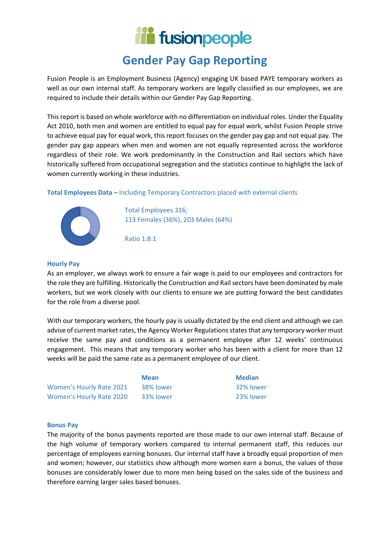# **in fusionpeople**

# **Gender Pay Gap Reporting**

Fusion People is an Employment Business (Agency) engaging UK based PAYE temporary workers as well as our own internal staff. As temporary workers are legally classified as our employees, we are required to include their details within our Gender Pay Gap Reporting.

This report is based on whole workforce with no differentiation on individual roles. Under the Equality Act 2010, both men and women are entitled to equal pay for equal work, whilst Fusion People strive to achieve equal pay for equal work, this report focuses on the gender pay gap and not equal pay. The gender pay gap appears when men and women are not equally represented across the workforce regardless of their role. We work predominantly in the Construction and Rail sectors which have historically suffered from occupational segregation and the statistics continue to highlight the lack of women currently working in these industries.

### **Total Employees Data –** Including Temporary Contractors placed with external clients



Total Employees 316; 113 Females (36%), 203 Males (64%)

Ratio 1.8:1

#### **Hourly Pay**

As an employer, we always work to ensure a fair wage is paid to our employees and contractors for the role they are fulfilling. Historically the Construction and Rail sectors have been dominated by male workers, but we work closely with our clients to ensure we are putting forward the best candidates for the role from a diverse pool.

With our temporary workers, the hourly pay is usually dictated by the end client and although we can advise of current market rates, the Agency Worker Regulations states that any temporary worker must receive the same pay and conditions as a permanent employee after 12 weeks' continuous engagement. This means that any temporary worker who has been with a client for more than 12 weeks will be paid the same rate as a permanent employee of our client.

Women's Hourly Rate 2021 38% lower 32% lower 32% lower Women's Hourly Rate 2020 33% lower 23% lower

**Mean Median**

#### **Bonus Pay**

The majority of the bonus payments reported are those made to our own internal staff. Because of the high volume of temporary workers compared to internal permanent staff, this reduces our percentage of employees earning bonuses. Our internal staff have a broadly equal proportion of men and women; however, our statistics show although more women earn a bonus, the values of those bonuses are considerably lower due to more men being based on the sales side of the business and therefore earning larger sales based bonuses.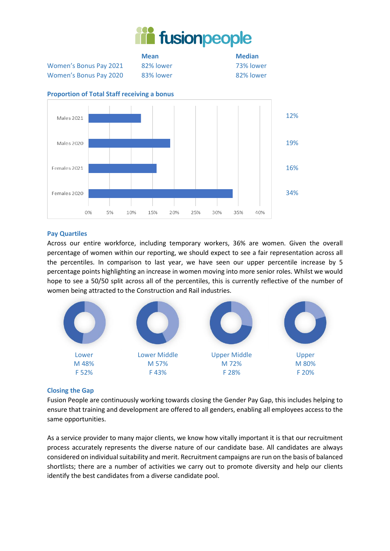

Women's Bonus Pay 2021 82% lower 73% lower Women's Bonus Pay 2020 83% lower 82% lower

**Mean Median**



## **Proportion of Total Staff receiving a bonus**

### **Pay Quartiles**

Across our entire workforce, including temporary workers, 36% are women. Given the overall percentage of women within our reporting, we should expect to see a fair representation across all the percentiles. In comparison to last year, we have seen our upper percentile increase by 5 percentage points highlighting an increase in women moving into more senior roles. Whilst we would hope to see a 50/50 split across all of the percentiles, this is currently reflective of the number of women being attracted to the Construction and Rail industries.



#### **Closing the Gap**

Fusion People are continuously working towards closing the Gender Pay Gap, this includes helping to ensure that training and development are offered to all genders, enabling all employees access to the same opportunities.

As a service provider to many major clients, we know how vitally important it is that our recruitment process accurately represents the diverse nature of our candidate base. All candidates are always considered on individual suitability and merit. Recruitment campaigns are run on the basis of balanced shortlists; there are a number of activities we carry out to promote diversity and help our clients identify the best candidates from a diverse candidate pool.